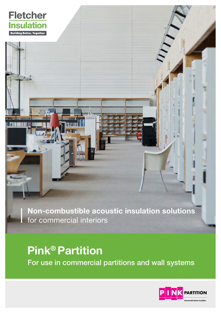

Non-combustible acoustic insulation solutions for commercial interiors

# Pink® Partition For use in commercial partitions and wall systems

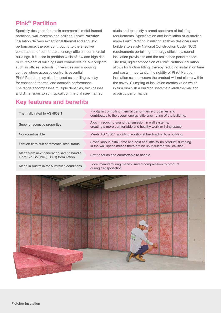## Pink® Partition

Specially designed for use in commercial metal framed partitions, wall systems and ceilings, Pink® Partition insulation delivers exceptional thermal and acoustic performance, thereby contributing to the effective construction of comfortable, energy efficient commercial buildings. It is used in partition walls of low and high rise multi-residential buildings and commercial fit-out projects such as offices, schools, universities and shopping centres where acoustic control is essential. Pink® Partition may also be used as a ceiling overlay for enhanced thermal and acoustic performance. The range encompasses multiple densities, thicknesses and dimensions to suit typical commercial steel framed

studs and to satisfy a broad spectrum of building requirements. Specification and installation of Australian made Pink® Partition insulation enables designers and builders to satisfy National Construction Code (NCC) requirements pertaining to energy efficiency, sound insulation provisions and fire resistance performance. The firm, rigid composition of Pink® Partition insulation allows for friction fitting, thereby reducing installation time and costs. Importantly, the rigidity of Pink® Partition insulation assures users the product will not slump within the cavity. Slumping of insulation creates voids which in turn diminish a building systems overall thermal and acoustic performance.

#### Key features and benefits

| Thermally rated to AS 4859.1                                                      | Pivotal in controlling thermal performance properties and<br>contributes to the overall energy efficiency rating of the building.        |
|-----------------------------------------------------------------------------------|------------------------------------------------------------------------------------------------------------------------------------------|
| Superior acoustic properties                                                      | Aids in reducing sound transmission in wall systems,<br>creating a more comfortable and healthy work or living space.                    |
| Non-combustible                                                                   | Meets AS 1530.1 avoiding additional fuel loading to a building.                                                                          |
| Friction fit to suit commercial steel frame                                       | Saves labour install-time and cost and little-to-no product slumping<br>in the wall space means there are no un-insulated wall cavities. |
| Made from next generation safe to handle<br>Fibre Bio-Soluble (FBS-1) formulation | Soft to touch and comfortable to handle.                                                                                                 |
| Made in Australia for Australian conditions                                       | Local manufacturing means limited compression to product<br>during transportation.                                                       |

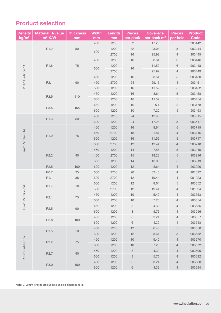## Product selection

| <b>Density</b><br>kg/m <sup>3</sup> | <b>Material R-value</b><br>m <sup>2</sup> K/W | <b>Thickness</b><br>mm | <b>Width</b><br>mm | Length<br>mm | <b>Pieces</b><br>per pack | <b>Coverage</b><br>per pack m <sup>2</sup> | <b>Pieces</b><br>per bale | <b>Product</b><br><b>Code</b> |
|-------------------------------------|-----------------------------------------------|------------------------|--------------------|--------------|---------------------------|--------------------------------------------|---------------------------|-------------------------------|
|                                     |                                               |                        | 450                | 1200         | 32                        | 17.28                                      | 5                         | 903442                        |
| Pink® Partition 11                  | R1.2                                          | 50                     | 600                | 1200         | 32                        | 23.04                                      | 5                         | 903444                        |
|                                     |                                               |                        |                    | 2700         | $16$                      | 25.92                                      | 4                         | 903445                        |
|                                     | R1.8                                          | 75                     | 450                | 1200         | $16$                      | 8.64                                       | 6                         | 903446                        |
|                                     |                                               |                        | 600                | 1200         |                           | 11.52                                      | 6                         | 903448                        |
|                                     |                                               |                        |                    | 2700         | $16$                      | 25.92                                      | $\overline{4}$            | 903449                        |
|                                     | R <sub>2.1</sub>                              | $90\,$                 | 450                | 1200         | 16                        | 8.64                                       | 5                         | 903450                        |
|                                     |                                               |                        | 450                | 2700         | 24                        | 29.16                                      | $\overline{4}$            | 903451                        |
|                                     |                                               |                        | 600                | 1200         | 16                        | 11.52                                      | 5                         | 903452                        |
|                                     | R <sub>2.5</sub>                              | 110                    | 450                | 1200         | 16                        | 8.64                                       | 5                         | 903458                        |
|                                     |                                               |                        | 600                | 1200         | $16$                      | 11.52                                      | 5                         | 903454                        |
|                                     | R3.5                                          | 165                    | 450                | 1200         | $10$                      | 5.4                                        | 5                         | 903478                        |
|                                     |                                               |                        | 600                | 1200         | 10                        | 7.20                                       | 5                         | 903463                        |
|                                     | R1.3                                          | 50                     | 450                | 1200         | 24                        | 12.96                                      | $\sqrt{5}$                | 903515                        |
|                                     |                                               |                        | 600                | 1200         | 24                        | 17.28                                      | 5                         | 903517                        |
| Pink® Partition 14                  | R1.9                                          | $75\,$                 | 450                | 1200         | 16                        | 8.64                                       | 5                         | 903715                        |
|                                     |                                               |                        | 450                | 2700         | $18$                      | 21.87                                      | $\overline{4}$            | 903716                        |
|                                     |                                               |                        | 600                | 1200         | $16$                      | 11.52                                      | 5                         | 903717                        |
|                                     |                                               |                        | 600                | 2700         | 12                        | 19.44                                      | $\overline{4}$            | 903718                        |
|                                     | R <sub>2.2</sub>                              | 90                     | 450                | 1200         | 14                        | 7.56                                       | 5                         | 903915                        |
|                                     |                                               |                        | 450                | 2700         | 15                        | 18.23                                      | 5                         | 903916                        |
|                                     |                                               |                        | 600                | 1200         | 14                        | 10.08                                      | 5                         | 903919                        |
|                                     | R <sub>2.5</sub>                              | 100                    | 600                | 1200         | 12                        | 8.64                                       | 5                         | 903920                        |
|                                     | R0.7                                          | $25\,$                 | 600                | 2700         | 20                        | 32.40                                      | $\overline{4}$            | 901022                        |
|                                     | R1.1                                          | 38                     | 600                | 2700         | 12                        | 19.44                                      | 4                         | 901023                        |
| Pink® Partition 24                  | R <sub>1.4</sub>                              | 50                     | 600                | 1200         | 12                        | 8.64                                       | 5                         | 903552                        |
|                                     |                                               |                        | 600                | 2700         | 12                        | 19.44                                      | $\overline{4}$            | 901024                        |
|                                     | R <sub>2.1</sub>                              | 75                     | 450                | 1200         | $10$                      | 5.40                                       | 4                         | 903553                        |
|                                     |                                               |                        | 600                | 1200         | 10                        | 7.20                                       | 4                         | 903554                        |
|                                     | R <sub>2.5</sub>                              | 90                     | 450                | 1200         | $\,8\,$                   | 4.32                                       | 4                         | 903555                        |
|                                     |                                               |                        | 600                | 1200         | 8                         | 5.76                                       | $\overline{4}$            | 903556                        |
|                                     | R <sub>2.8</sub>                              | 100                    | 450                | 1200         | $\,6$                     | 3.24                                       | 4                         | 903557                        |
|                                     |                                               |                        | 600                | 1200         | $\,6\,$                   | 4.32                                       | 4                         | 903558                        |
| Pink® Partition 32                  | R1.5                                          | 50                     | 450                | 1200         | 12                        | 6.48                                       | 5                         | 903650                        |
|                                     |                                               |                        | 600                | 1200         | 12                        | 8.64                                       | 5                         | 903652                        |
|                                     | R <sub>2.2</sub>                              | 75                     | 450                | 1200         | $10$                      | 5.40                                       | 4                         | 903670                        |
|                                     |                                               |                        | 600                | 1200         | $10$                      | 7.20                                       | $\overline{4}$            | 903672                        |
|                                     | R <sub>2.7</sub>                              | 90                     | 450                | 1200         | $\,8\,$                   | 4.32                                       | 4                         | 903690                        |
|                                     |                                               |                        | 600                | 1200         | 8                         | 5.76                                       | $\overline{4}$            | 903692                        |
|                                     | R3.0                                          | 100                    | 450                | 1200         | 6                         | 3.24                                       | 4                         | 903600                        |
|                                     |                                               |                        | 600                | 1200         | $\,6\,$                   | 4.32                                       | $\overline{4}$            | 903694                        |

Note: 2700mm lengths are supplied as skip-chopped rolls.